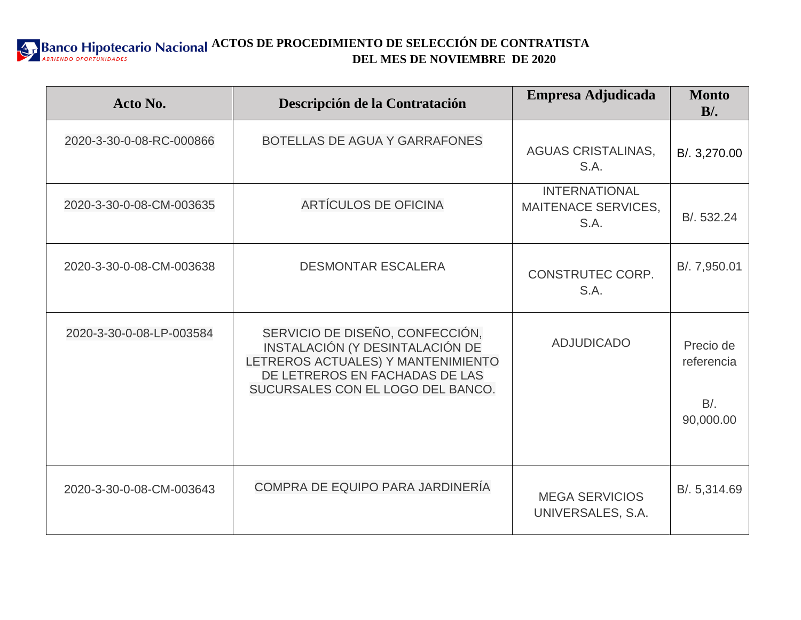**ACTOS DE PROCEDIMIENTO DE SELECCIÓN DE CONTRATISTA DEL MES DE NOVIEMBRE DE 2020**

| Acto No.                 | Descripción de la Contratación                                                                                                                                                  | Empresa Adjudicada                                         | <b>Monto</b><br>$B$ .                          |
|--------------------------|---------------------------------------------------------------------------------------------------------------------------------------------------------------------------------|------------------------------------------------------------|------------------------------------------------|
| 2020-3-30-0-08-RC-000866 | BOTELLAS DE AGUA Y GARRAFONES                                                                                                                                                   | <b>AGUAS CRISTALINAS,</b><br>S.A.                          | B/. 3,270.00                                   |
| 2020-3-30-0-08-CM-003635 | <b>ARTÍCULOS DE OFICINA</b>                                                                                                                                                     | <b>INTERNATIONAL</b><br><b>MAITENACE SERVICES,</b><br>S.A. | B/. 532.24                                     |
| 2020-3-30-0-08-CM-003638 | <b>DESMONTAR ESCALERA</b>                                                                                                                                                       | <b>CONSTRUTEC CORP.</b><br>S.A.                            | B/. 7,950.01                                   |
| 2020-3-30-0-08-LP-003584 | SERVICIO DE DISEÑO, CONFECCIÓN,<br>INSTALACIÓN (Y DESINTALACIÓN DE<br>LETREROS ACTUALES) Y MANTENIMIENTO<br>DE LETREROS EN FACHADAS DE LAS<br>SUCURSALES CON EL LOGO DEL BANCO. | <b>ADJUDICADO</b>                                          | Precio de<br>referencia<br>$B/$ .<br>90,000.00 |
| 2020-3-30-0-08-CM-003643 | <b>COMPRA DE EQUIPO PARA JARDINERÍA</b>                                                                                                                                         | <b>MEGA SERVICIOS</b><br>UNIVERSALES, S.A.                 | B/. 5,314.69                                   |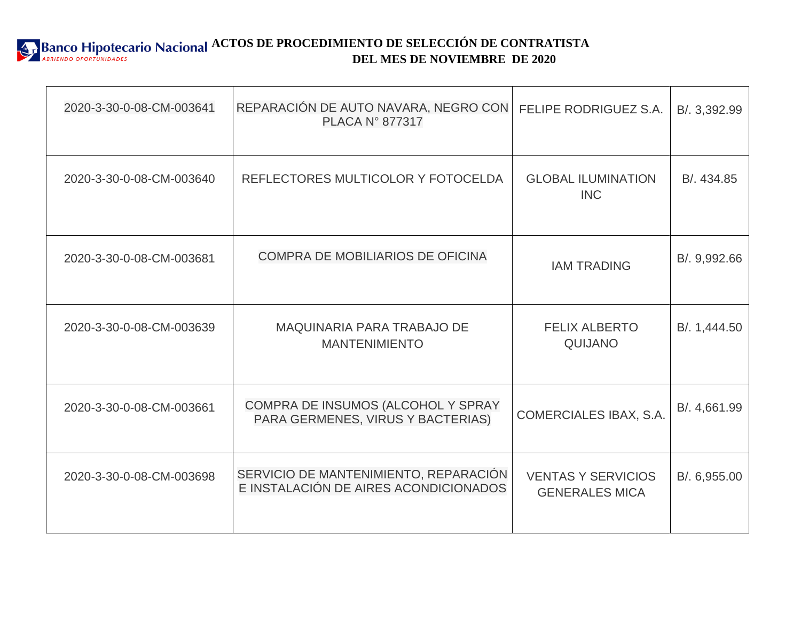

| 2020-3-30-0-08-CM-003641 | REPARACIÓN DE AUTO NAVARA, NEGRO CON<br><b>PLACA N° 877317</b>                 | FELIPE RODRIGUEZ S.A.                              | B/. 3,392.99 |
|--------------------------|--------------------------------------------------------------------------------|----------------------------------------------------|--------------|
| 2020-3-30-0-08-CM-003640 | REFLECTORES MULTICOLOR Y FOTOCELDA                                             | <b>GLOBAL ILUMINATION</b><br><b>INC</b>            | B/. 434.85   |
| 2020-3-30-0-08-CM-003681 | COMPRA DE MOBILIARIOS DE OFICINA                                               | <b>IAM TRADING</b>                                 | B/. 9,992.66 |
| 2020-3-30-0-08-CM-003639 | <b>MAQUINARIA PARA TRABAJO DE</b><br><b>MANTENIMIENTO</b>                      | <b>FELIX ALBERTO</b><br>QUIJANO                    | B/. 1,444.50 |
| 2020-3-30-0-08-CM-003661 | COMPRA DE INSUMOS (ALCOHOL Y SPRAY<br>PARA GERMENES, VIRUS Y BACTERIAS)        | COMERCIALES IBAX, S.A.                             | B/. 4,661.99 |
| 2020-3-30-0-08-CM-003698 | SERVICIO DE MANTENIMIENTO, REPARACIÓN<br>E INSTALACIÓN DE AIRES ACONDICIONADOS | <b>VENTAS Y SERVICIOS</b><br><b>GENERALES MICA</b> | B/. 6,955.00 |